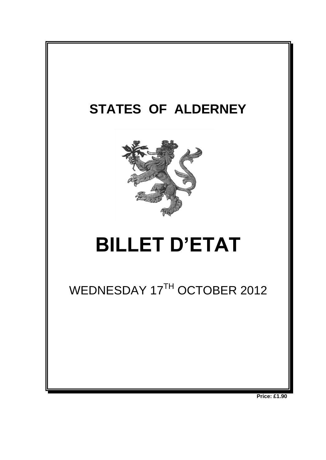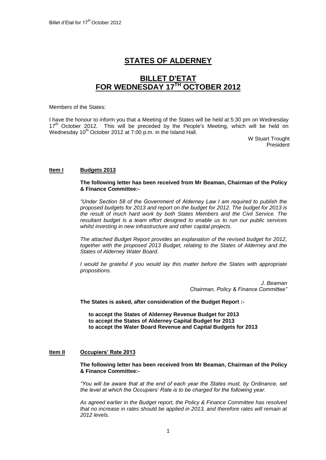# **STATES OF ALDERNEY**

# **BILLET D'ETAT FOR WEDNESDAY 17 TH OCTOBER 2012**

#### Members of the States:

I have the honour to inform you that a Meeting of the States will be held at 5:30 pm on Wednesday 17<sup>th</sup> October 2012. This will be preceded by the People's Meeting, which will be held on Wednesday 10<sup>th</sup> October 2012 at 7:00 p.m. in the Island Hall.

W Stuart Trought President

#### **Item I Budgets 2013**

#### **The following letter has been received from Mr Beaman, Chairman of the Policy & Finance Committee:-**

*"Under Section 58 of the Government of Alderney Law I am required to publish the proposed budgets for 2013 and report on the budget for 2012. The budget for 2013 is the result of much hard work by both States Members and the Civil Service. The resultant budget is a team effort designed to enable us to run our public services whilst investing in new infrastructure and other capital projects.*

*The attached Budget Report provides an explanation of the revised budget for 2012, together with the proposed 2013 Budget, relating to the States of Alderney and the States of Alderney Water Board.*

*I* would be grateful if you would lay this matter before the States with appropriate *propositions.*

> *J. Beaman Chairman, Policy & Finance Committee"*

**The States is asked, after consideration of the Budget Report :-**

**to accept the States of Alderney Revenue Budget for 2013 to accept the States of Alderney Capital Budget for 2013 to accept the Water Board Revenue and Capital Budgets for 2013**

#### **Item II Occupiers' Rate 2013**

**The following letter has been received from Mr Beaman, Chairman of the Policy & Finance Committee:-**

*"You will be aware that at the end of each year the States must, by Ordinance, set the level at which the Occupiers" Rate is to be charged for the following year.*

*As agreed earlier in the Budget report, the Policy & Finance Committee has resolved that no increase in rates should be applied in 2013, and therefore rates will remain at 2012 levels.*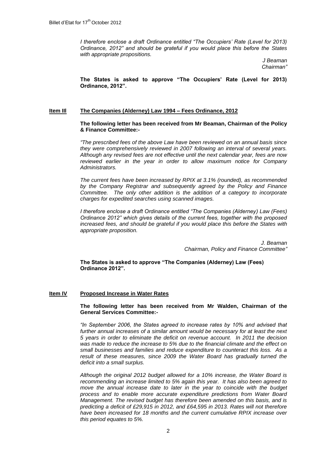*I therefore enclose a draft Ordinance entitled "The Occupiers' Rate (Level for 2013) Ordinance, 2012" and should be grateful if you would place this before the States with appropriate propositions.*

> *J Beaman Chairman"*

**The States is asked to approve "The Occupiers' Rate (Level for 2013) Ordinance, 2012".**

#### **Item IIl The Companies (Alderney) Law 1994 – Fees Ordinance, 2012**

**The following letter has been received from Mr Beaman, Chairman of the Policy & Finance Committee:-**

*"The prescribed fees of the above Law have been reviewed on an annual basis since they were comprehensively reviewed in 2007 following an interval of several years. Although any revised fees are not effective until the next calendar year, fees are now reviewed earlier in the year in order to allow maximum notice for Company Administrators.*

*The current fees have been increased by RPIX at 3.1% (rounded), as recommended by the Company Registrar and subsequently agreed by the Policy and Finance Committee. The only other addition is the addition of a category to incorporate charges for expedited searches using scanned images.*

*I therefore enclose a draft Ordinance entitled "The Companies (Alderney) Law (Fees) Ordinance 2012" which gives details of the current fees, together with the proposed increased fees, and should be grateful if you would place this before the States with appropriate proposition.*

> *J. Beaman Chairman, Policy and Finance Committee"*

**The States is asked to approve "The Companies (Alderney) Law (Fees) Ordinance 2012".**

#### **Item IV Proposed Increase in Water Rates**

#### **The following letter has been received from Mr Walden, Chairman of the General Services Committee:-**

*"In September 2006, the States agreed to increase rates by 10% and advised that*  further annual increases of a similar amount would be necessary for at least the next *5 years in order to eliminate the deficit on revenue account. In 2011 the decision was made to reduce the increase to 5% due to the financial climate and the effect on small businesses and families and reduce expenditure to counteract this loss. As a result of these measures, since 2009 the Water Board has gradually turned the deficit into a small surplus.* 

*Although the original 2012 budget allowed for a 10% increase, the Water Board is recommending an increase limited to 5% again this year. It has also been agreed to move the annual increase date to later in the year to coincide with the budget process and to enable more accurate expenditure predictions from Water Board Management. The revised budget has therefore been amended on this basis, and is predicting a deficit of £29,915 in 2012, and £64,595 in 2013. Rates will not therefore have been increased for 18 months and the current cumulative RPIX increase over this period equates to 5%.*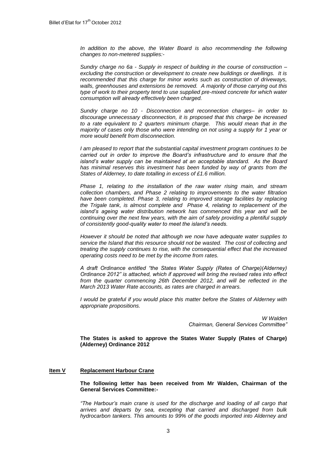*In addition to the above, the Water Board is also recommending the following changes to non-metered supplies:-*

*Sundry charge no 6a - Supply in respect of building in the course of construction – excluding the construction or development to create new buildings or dwellings. It is recommended that this charge for minor works such as construction of driveways, walls, greenhouses and extensions be removed. A majority of those carrying out this type of work to their property tend to use supplied pre-mixed concrete for which water consumption will already effectively been charged.* 

*Sundry charge no 10 - Disconnection and reconnection charges– in order to discourage unnecessary disconnection, it is proposed that this charge be increased to a rate equivalent to 2 quarters minimum charge. This would mean that in the majority of cases only those who were intending on not using a supply for 1 year or more would benefit from disconnection.*

*I am pleased to report that the substantial capital investment program continues to be carried out in order to improve the Board"s infrastructure and to ensure that the island"s water supply can be maintained at an acceptable standard. As the Board has minimal reserves this investment has been funded by way of grants from the States of Alderney, to date totalling in excess of £1.6 million.* 

*Phase 1, relating to the installation of the raw water rising main, and stream collection chambers, and Phase 2 relating to improvements to the water filtration have been completed. Phase 3, relating to improved storage facilities by replacing the Trigale tank, is almost complete and Phase 4, relating to replacement of the island"s ageing water distribution network has commenced this year and will be continuing over the next few years, with the aim of safely providing a plentiful supply of consistently good-quality water to meet the island"s needs.*

*However it should be noted that although we now have adequate water supplies to service the Island that this resource should not be wasted. The cost of collecting and treating the supply continues to rise, with the consequential effect that the increased operating costs need to be met by the income from rates.* 

*A draft Ordinance entitled "the States Water Supply (Rates of Charge)(Alderney) Ordinance 2012" is attached, which if approved will bring the revised rates into effect from the quarter commencing 26th December 2012, and will be reflected in the March 2013 Water Rate accounts, as rates are charged in arrears.*

*I would be grateful if you would place this matter before the States of Alderney with appropriate propositions.*

> *W Walden Chairman, General Services Committee"*

**The States is asked to approve the States Water Supply (Rates of Charge) (Alderney) Ordinance 2012**

## **Item V Replacement Harbour Crane**

#### **The following letter has been received from Mr Walden, Chairman of the General Services Committee:-**

*"The Harbour"s main crane is used for the discharge and loading of all cargo that arrives and departs by sea, excepting that carried and discharged from bulk hydrocarbon tankers. This amounts to 99% of the goods imported into Alderney and*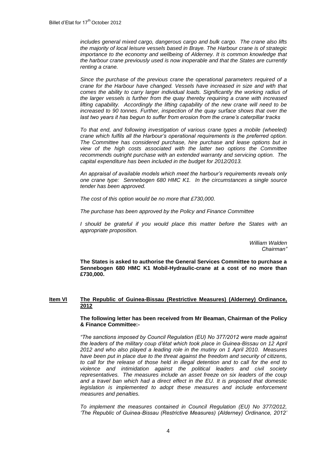*includes general mixed cargo, dangerous cargo and bulk cargo. The crane also lifts the majority of local leisure vessels based in Braye. The Harbour crane is of strategic importance to the economy and wellbeing of Alderney. It is common knowledge that the harbour crane previously used is now inoperable and that the States are currently renting a crane.* 

*Since the purchase of the previous crane the operational parameters required of a crane for the Harbour have changed. Vessels have increased in size and with that comes the ability to carry larger individual loads. Significantly the working radius of the larger vessels is further from the quay thereby requiring a crane with increased lifting capability. Accordingly the lifting capability of the new crane will need to be increased to 90 tonnes. Further, inspection of the quay surface shows that over the last two years it has begun to suffer from erosion from the crane"s caterpillar tracks* 

*To that end, and following investigation of various crane types a mobile (wheeled) crane which fulfils all the Harbour"s operational requirements is the preferred option. The Committee has considered purchase, hire purchase and lease options but in view of the high costs associated with the latter two options the Committee recommends outright purchase with an extended warranty and servicing option. The capital expenditure has been included in the budget for 2012/2013.*

*An appraisal of available models which meet the harbour"s requirements reveals only one crane type: Sennebogen 680 HMC K1. In the circumstances a single source tender has been approved.*

*The cost of this option would be no more that £730,000.* 

*The purchase has been approved by the Policy and Finance Committee*

*I* should be grateful if you would place this matter before the States with an *appropriate proposition.*

> *William Walden Chairman"*

**The States is asked to authorise the General Services Committee to purchase a Sennebogen 680 HMC K1 Mobil-Hydraulic-crane at a cost of no more than £730,000.** 

#### **Item VI The Republic of Guinea-Bissau (Restrictive Measures) (Alderney) Ordinance, 2012**

#### **The following letter has been received from Mr Beaman, Chairman of the Policy & Finance Committee:-**

*"The sanctions imposed by Council Regulation (EU) No 377/2012 were made against the leaders of the military coup d"état which took place in Guinea-Bissau on 12 April 2012 and who also played a leading role in the mutiny on 1 April 2010. Measures have been put in place due to the threat against the freedom and security of citizens, to call for the release of those held in illegal detention and to call for the end to violence and intimidation against the political leaders and civil society representatives. The measures include an asset freeze on six leaders of the coup and a travel ban which had a direct effect in the EU. It is proposed that domestic*  legislation is implemented to adopt these measures and include enforcement *measures and penalties.*

*To implement the measures contained in Council Regulation (EU) No 377/2012, "The Republic of Guinea-Bissau (Restrictive Measures) (Alderney) Ordinance, 2012"*